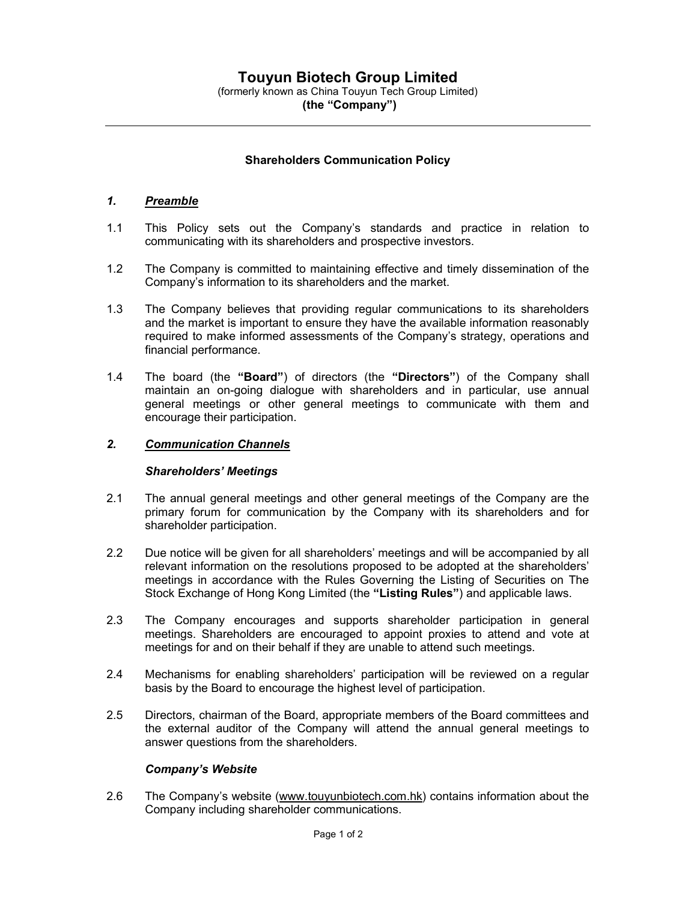# (the "Company")

## Shareholders Communication Policy

### 1. Preamble

- 1.1 This Policy sets out the Company's standards and practice in relation to communicating with its shareholders and prospective investors.
- 1.2 The Company is committed to maintaining effective and timely dissemination of the Company's information to its shareholders and the market.
- 1.3 The Company believes that providing regular communications to its shareholders and the market is important to ensure they have the available information reasonably required to make informed assessments of the Company's strategy, operations and financial performance.
- 1.4 The board (the "Board") of directors (the "Directors") of the Company shall maintain an on-going dialogue with shareholders and in particular, use annual general meetings or other general meetings to communicate with them and encourage their participation.

#### 2. Communication Channels

#### Shareholders' Meetings

- 2.1 The annual general meetings and other general meetings of the Company are the primary forum for communication by the Company with its shareholders and for shareholder participation.
- 2.2 Due notice will be given for all shareholders' meetings and will be accompanied by all relevant information on the resolutions proposed to be adopted at the shareholders' meetings in accordance with the Rules Governing the Listing of Securities on The Stock Exchange of Hong Kong Limited (the "Listing Rules") and applicable laws.
- 2.3 The Company encourages and supports shareholder participation in general meetings. Shareholders are encouraged to appoint proxies to attend and vote at meetings for and on their behalf if they are unable to attend such meetings.
- 2.4 Mechanisms for enabling shareholders' participation will be reviewed on a regular basis by the Board to encourage the highest level of participation.
- 2.5 Directors, chairman of the Board, appropriate members of the Board committees and the external auditor of the Company will attend the annual general meetings to answer questions from the shareholders.

## Company's Website

2.6 The Company's website (www.touyunbiotech.com.hk) contains information about the Company including shareholder communications.